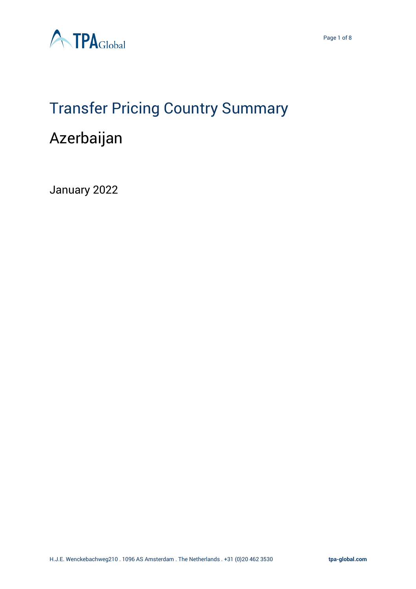



## Transfer Pricing Country Summary Azerbaijan

January 2022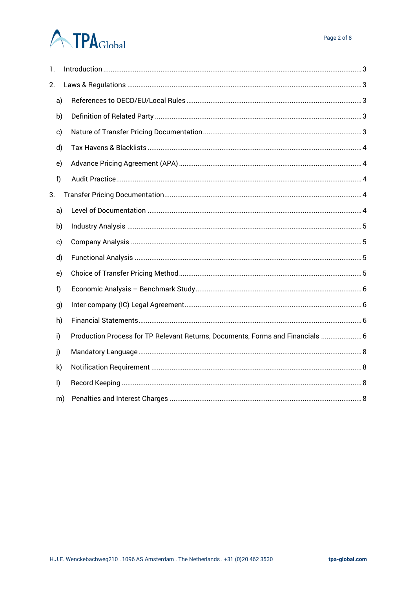# **ATPA**Global

| 1.           |              |                                                                                |  |  |  |  |  |  |
|--------------|--------------|--------------------------------------------------------------------------------|--|--|--|--|--|--|
| 2.           |              |                                                                                |  |  |  |  |  |  |
|              | a)           |                                                                                |  |  |  |  |  |  |
|              | b)           |                                                                                |  |  |  |  |  |  |
|              | c)           |                                                                                |  |  |  |  |  |  |
|              | d)           |                                                                                |  |  |  |  |  |  |
|              | e)           |                                                                                |  |  |  |  |  |  |
| f)           |              |                                                                                |  |  |  |  |  |  |
| 3.           |              |                                                                                |  |  |  |  |  |  |
|              | a)           |                                                                                |  |  |  |  |  |  |
|              | b)           |                                                                                |  |  |  |  |  |  |
|              | c)           |                                                                                |  |  |  |  |  |  |
|              | d)           |                                                                                |  |  |  |  |  |  |
|              | e)           |                                                                                |  |  |  |  |  |  |
| f)           |              |                                                                                |  |  |  |  |  |  |
|              | g)           |                                                                                |  |  |  |  |  |  |
|              | h)           |                                                                                |  |  |  |  |  |  |
| i)           |              | Production Process for TP Relevant Returns, Documents, Forms and Financials  6 |  |  |  |  |  |  |
| j)           |              |                                                                                |  |  |  |  |  |  |
|              | $\mathsf{k}$ |                                                                                |  |  |  |  |  |  |
| $\mathsf{I}$ |              |                                                                                |  |  |  |  |  |  |
|              | m)           |                                                                                |  |  |  |  |  |  |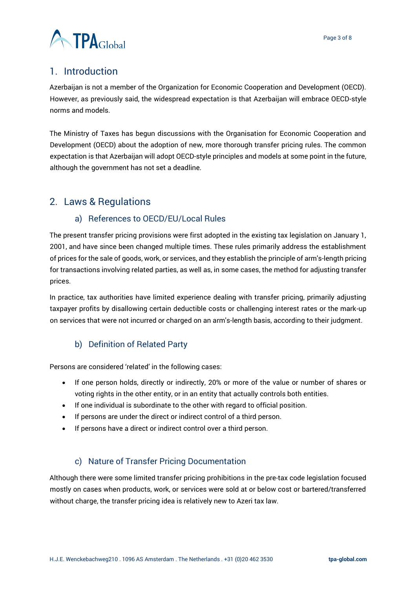

### <span id="page-2-0"></span>1. Introduction

Azerbaijan is not a member of the Organization for Economic Cooperation and Development (OECD). However, as previously said, the widespread expectation is that Azerbaijan will embrace OECD-style norms and models.

The Ministry of Taxes has begun discussions with the Organisation for Economic Cooperation and Development (OECD) about the adoption of new, more thorough transfer pricing rules. The common expectation is that Azerbaijan will adopt OECD-style principles and models at some point in the future, although the government has not set a deadline.

### <span id="page-2-2"></span><span id="page-2-1"></span>2. Laws & Regulations

#### a) References to OECD/EU/Local Rules

The present transfer pricing provisions were first adopted in the existing tax legislation on January 1, 2001, and have since been changed multiple times. These rules primarily address the establishment of prices for the sale of goods, work, or services, and they establish the principle of arm's-length pricing for transactions involving related parties, as well as, in some cases, the method for adjusting transfer prices.

In practice, tax authorities have limited experience dealing with transfer pricing, primarily adjusting taxpayer profits by disallowing certain deductible costs or challenging interest rates or the mark-up on services that were not incurred or charged on an arm's-length basis, according to their judgment.

#### b) Definition of Related Party

<span id="page-2-3"></span>Persons are considered 'related' in the following cases:

- If one person holds, directly or indirectly, 20% or more of the value or number of shares or voting rights in the other entity, or in an entity that actually controls both entities.
- If one individual is subordinate to the other with regard to official position.
- If persons are under the direct or indirect control of a third person.
- If persons have a direct or indirect control over a third person.

#### c) Nature of Transfer Pricing Documentation

<span id="page-2-4"></span>Although there were some limited transfer pricing prohibitions in the pre-tax code legislation focused mostly on cases when products, work, or services were sold at or below cost or bartered/transferred without charge, the transfer pricing idea is relatively new to Azeri tax law.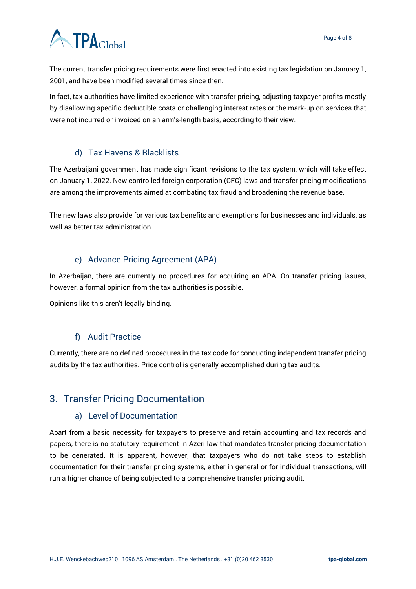# **ATPA**Global

The current transfer pricing requirements were first enacted into existing tax legislation on January 1, 2001, and have been modified several times since then.

In fact, tax authorities have limited experience with transfer pricing, adjusting taxpayer profits mostly by disallowing specific deductible costs or challenging interest rates or the mark-up on services that were not incurred or invoiced on an arm's-length basis, according to their view.

### d) Tax Havens & Blacklists

<span id="page-3-0"></span>The Azerbaijani government has made significant revisions to the tax system, which will take effect on January 1, 2022. New controlled foreign corporation (CFC) laws and transfer pricing modifications are among the improvements aimed at combating tax fraud and broadening the revenue base.

The new laws also provide for various tax benefits and exemptions for businesses and individuals, as well as better tax administration.

### e) Advance Pricing Agreement (APA)

<span id="page-3-1"></span>In Azerbaijan, there are currently no procedures for acquiring an APA. On transfer pricing issues, however, a formal opinion from the tax authorities is possible.

Opinions like this aren't legally binding.

#### f) Audit Practice

<span id="page-3-2"></span>Currently, there are no defined procedures in the tax code for conducting independent transfer pricing audits by the tax authorities. Price control is generally accomplished during tax audits.

## <span id="page-3-3"></span>3. Transfer Pricing Documentation

#### a) Level of Documentation

<span id="page-3-4"></span>Apart from a basic necessity for taxpayers to preserve and retain accounting and tax records and papers, there is no statutory requirement in Azeri law that mandates transfer pricing documentation to be generated. It is apparent, however, that taxpayers who do not take steps to establish documentation for their transfer pricing systems, either in general or for individual transactions, will run a higher chance of being subjected to a comprehensive transfer pricing audit.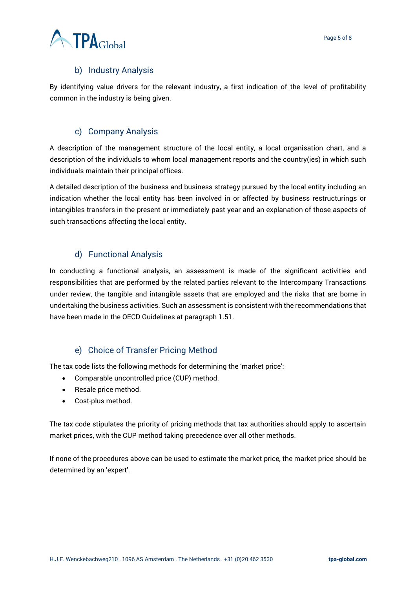#### b) Industry Analysis

<span id="page-4-0"></span>By identifying value drivers for the relevant industry, a first indication of the level of profitability common in the industry is being given.

#### c) Company Analysis

<span id="page-4-1"></span>A description of the management structure of the local entity, a local organisation chart, and a description of the individuals to whom local management reports and the country(ies) in which such individuals maintain their principal offices.

A detailed description of the business and business strategy pursued by the local entity including an indication whether the local entity has been involved in or affected by business restructurings or intangibles transfers in the present or immediately past year and an explanation of those aspects of such transactions affecting the local entity.

#### d) Functional Analysis

<span id="page-4-2"></span>In conducting a functional analysis, an assessment is made of the significant activities and responsibilities that are performed by the related parties relevant to the Intercompany Transactions under review, the tangible and intangible assets that are employed and the risks that are borne in undertaking the business activities. Such an assessment is consistent with the recommendations that have been made in the OECD Guidelines at paragraph 1.51.

#### e) Choice of Transfer Pricing Method

<span id="page-4-3"></span>The tax code lists the following methods for determining the 'market price':

- Comparable uncontrolled price (CUP) method.
- Resale price method.
- Cost-plus method.

The tax code stipulates the priority of pricing methods that tax authorities should apply to ascertain market prices, with the CUP method taking precedence over all other methods.

If none of the procedures above can be used to estimate the market price, the market price should be determined by an 'expert'.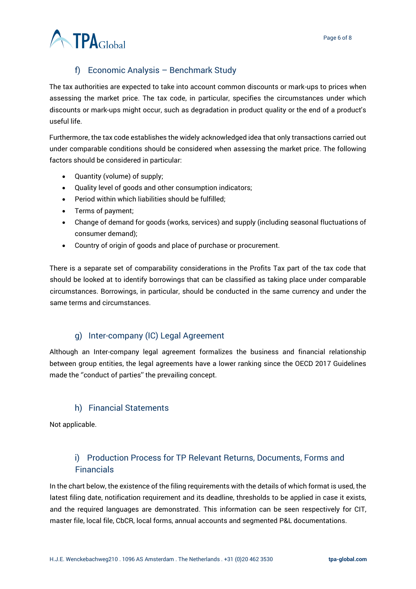

### f) Economic Analysis – Benchmark Study

<span id="page-5-0"></span>The tax authorities are expected to take into account common discounts or mark-ups to prices when assessing the market price. The tax code, in particular, specifies the circumstances under which discounts or mark-ups might occur, such as degradation in product quality or the end of a product's useful life.

Furthermore, the tax code establishes the widely acknowledged idea that only transactions carried out under comparable conditions should be considered when assessing the market price. The following factors should be considered in particular:

- Quantity (volume) of supply;
- Quality level of goods and other consumption indicators;
- Period within which liabilities should be fulfilled;
- Terms of payment;
- Change of demand for goods (works, services) and supply (including seasonal fluctuations of consumer demand);
- Country of origin of goods and place of purchase or procurement.

There is a separate set of comparability considerations in the Profits Tax part of the tax code that should be looked at to identify borrowings that can be classified as taking place under comparable circumstances. Borrowings, in particular, should be conducted in the same currency and under the same terms and circumstances.

#### g) Inter-company (IC) Legal Agreement

<span id="page-5-1"></span>Although an Inter-company legal agreement formalizes the business and financial relationship between group entities, the legal agreements have a lower ranking since the OECD 2017 Guidelines made the ''conduct of parties'' the prevailing concept.

#### h) Financial Statements

<span id="page-5-2"></span>Not applicable.

### <span id="page-5-3"></span>i) Production Process for TP Relevant Returns, Documents, Forms and Financials

In the chart below, the existence of the filing requirements with the details of which format is used, the latest filing date, notification requirement and its deadline, thresholds to be applied in case it exists, and the required languages are demonstrated. This information can be seen respectively for CIT, master file, local file, CbCR, local forms, annual accounts and segmented P&L documentations.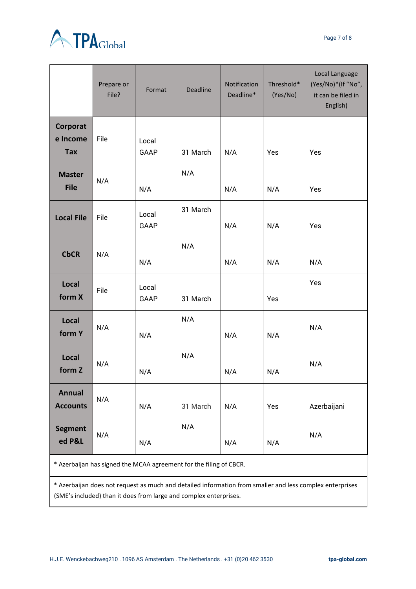



|                                    | Prepare or<br>File? | Format        | <b>Deadline</b> | Notification<br>Deadline* | Threshold*<br>(Yes/No) | Local Language<br>(Yes/No)*(If "No",<br>it can be filed in<br>English) |
|------------------------------------|---------------------|---------------|-----------------|---------------------------|------------------------|------------------------------------------------------------------------|
| Corporat<br>e Income<br><b>Tax</b> | File                | Local<br>GAAP | 31 March        | N/A                       | Yes                    | Yes                                                                    |
| <b>Master</b><br><b>File</b>       | N/A                 | N/A           | N/A             | N/A                       | N/A                    | Yes                                                                    |
| <b>Local File</b>                  | File                | Local<br>GAAP | 31 March        | N/A                       | N/A                    | Yes                                                                    |
| <b>CbCR</b>                        | N/A                 | N/A           | N/A             | N/A                       | N/A                    | N/A                                                                    |
| Local<br>form X                    | File                | Local<br>GAAP | 31 March        |                           | Yes                    | Yes                                                                    |
| Local<br>form Y                    | N/A                 | N/A           | N/A             | N/A                       | N/A                    | N/A                                                                    |
| Local<br>form Z                    | N/A                 | N/A           | N/A             | N/A                       | N/A                    | N/A                                                                    |
| <b>Annual</b><br><b>Accounts</b>   | N/A                 | N/A           | 31 March        | N/A                       | Yes                    | Azerbaijani                                                            |
| <b>Segment</b><br>ed P&L           | N/A                 | N/A           | N/A             | N/A                       | N/A                    | N/A                                                                    |

\* Azerbaijan has signed the MCAA agreement for the filing of CBCR.

\* Azerbaijan does not request as much and detailed information from smaller and less complex enterprises (SME's included) than it does from large and complex enterprises.